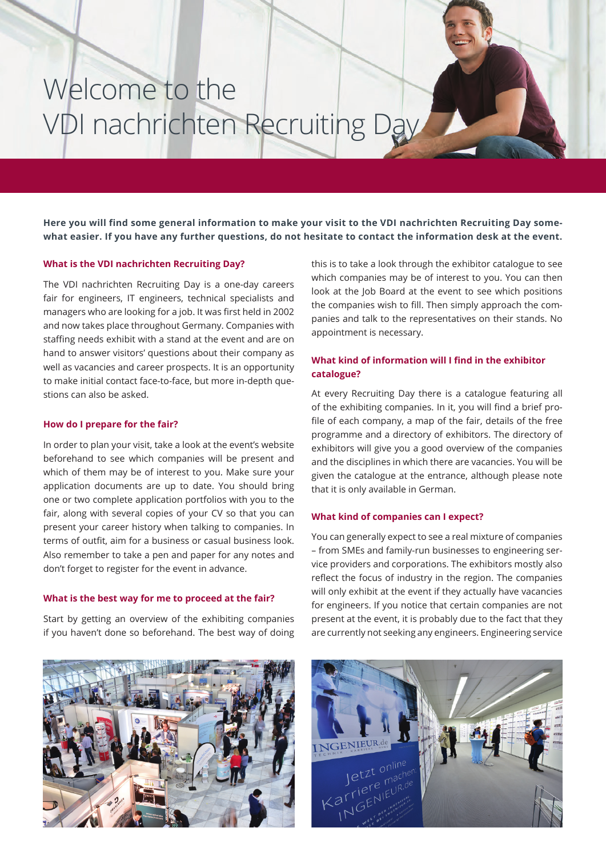# Welcome to the VDI nachrichten Recruiting Day

**Here you will find some general information to make your visit to the VDI nachrichten Recruiting Day somewhat easier. If you have any further questions, do not hesitate to contact the information desk at the event.**

### **What is the VDI nachrichten Recruiting Day?**

The VDI nachrichten Recruiting Day is a one-day careers fair for engineers, IT engineers, technical specialists and managers who are looking for a job. It was first held in 2002 and now takes place throughout Germany. Companies with staffing needs exhibit with a stand at the event and are on hand to answer visitors' questions about their company as well as vacancies and career prospects. It is an opportunity to make initial contact face-to-face, but more in-depth questions can also be asked.

#### **How do I prepare for the fair?**

In order to plan your visit, take a look at the event's website beforehand to see which companies will be present and which of them may be of interest to you. Make sure your application documents are up to date. You should bring one or two complete application portfolios with you to the fair, along with several copies of your CV so that you can present your career history when talking to companies. In terms of outfit, aim for a business or casual business look. Also remember to take a pen and paper for any notes and don't forget to register for the event in advance.

#### **What is the best way for me to proceed at the fair?**

Start by getting an overview of the exhibiting companies if you haven't done so beforehand. The best way of doing this is to take a look through the exhibitor catalogue to see which companies may be of interest to you. You can then look at the Job Board at the event to see which positions the companies wish to fill. Then simply approach the companies and talk to the representatives on their stands. No appointment is necessary.

## **What kind of information will I find in the exhibitor catalogue?**

At every Recruiting Day there is a catalogue featuring all of the exhibiting companies. In it, you will find a brief profile of each company, a map of the fair, details of the free programme and a directory of exhibitors. The directory of exhibitors will give you a good overview of the companies and the disciplines in which there are vacancies. You will be given the catalogue at the entrance, although please note that it is only available in German.

### **What kind of companies can I expect?**

You can generally expect to see a real mixture of companies – from SMEs and family-run businesses to engineering service providers and corporations. The exhibitors mostly also reflect the focus of industry in the region. The companies will only exhibit at the event if they actually have vacancies for engineers. If you notice that certain companies are not present at the event, it is probably due to the fact that they are currently not seeking any engineers. Engineering service